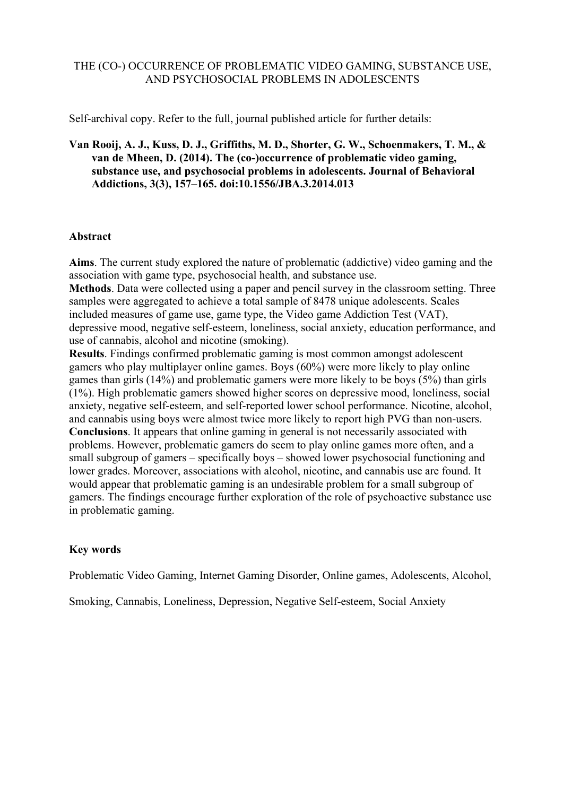## THE (CO-) OCCURRENCE OF PROBLEMATIC VIDEO GAMING, SUBSTANCE USE, AND PSYCHOSOCIAL PROBLEMS IN ADOLESCENTS

Self-archival copy. Refer to the full, journal published article for further details:

## **Van Rooij, A. J., Kuss, D. J., Griffiths, M. D., Shorter, G. W., Schoenmakers, T. M., & van de Mheen, D. (2014). The (co-)occurrence of problematic video gaming, substance use, and psychosocial problems in adolescents. Journal of Behavioral Addictions, 3(3), 157–165. doi:10.1556/JBA.3.2014.013**

## **Abstract**

**Aims**. The current study explored the nature of problematic (addictive) video gaming and the association with game type, psychosocial health, and substance use.

**Methods**. Data were collected using a paper and pencil survey in the classroom setting. Three samples were aggregated to achieve a total sample of 8478 unique adolescents. Scales included measures of game use, game type, the Video game Addiction Test (VAT), depressive mood, negative self-esteem, loneliness, social anxiety, education performance, and use of cannabis, alcohol and nicotine (smoking).

**Results**. Findings confirmed problematic gaming is most common amongst adolescent gamers who play multiplayer online games. Boys (60%) were more likely to play online games than girls (14%) and problematic gamers were more likely to be boys (5%) than girls (1%). High problematic gamers showed higher scores on depressive mood, loneliness, social anxiety, negative self-esteem, and self-reported lower school performance. Nicotine, alcohol, and cannabis using boys were almost twice more likely to report high PVG than non-users. **Conclusions**. It appears that online gaming in general is not necessarily associated with problems. However, problematic gamers do seem to play online games more often, and a small subgroup of gamers – specifically boys – showed lower psychosocial functioning and lower grades. Moreover, associations with alcohol, nicotine, and cannabis use are found. It would appear that problematic gaming is an undesirable problem for a small subgroup of gamers. The findings encourage further exploration of the role of psychoactive substance use in problematic gaming.

## **Key words**

Problematic Video Gaming, Internet Gaming Disorder, Online games, Adolescents, Alcohol,

Smoking, Cannabis, Loneliness, Depression, Negative Self-esteem, Social Anxiety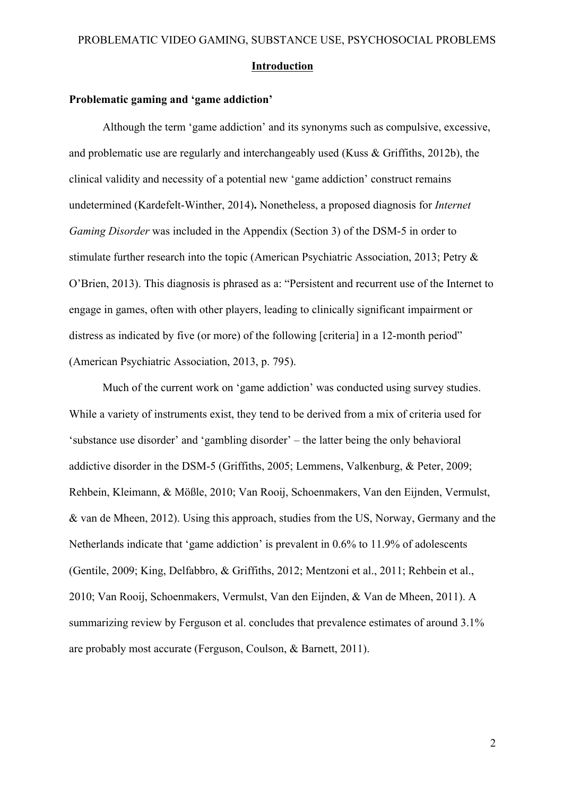#### **Introduction**

#### **Problematic gaming and 'game addiction'**

Although the term 'game addiction' and its synonyms such as compulsive, excessive, and problematic use are regularly and interchangeably used (Kuss & Griffiths, 2012b), the clinical validity and necessity of a potential new 'game addiction' construct remains undetermined (Kardefelt-Winther, 2014)**.** Nonetheless, a proposed diagnosis for *Internet Gaming Disorder* was included in the Appendix (Section 3) of the DSM-5 in order to stimulate further research into the topic (American Psychiatric Association, 2013; Petry & O'Brien, 2013). This diagnosis is phrased as a: "Persistent and recurrent use of the Internet to engage in games, often with other players, leading to clinically significant impairment or distress as indicated by five (or more) of the following [criteria] in a 12-month period" (American Psychiatric Association, 2013, p. 795).

Much of the current work on 'game addiction' was conducted using survey studies. While a variety of instruments exist, they tend to be derived from a mix of criteria used for 'substance use disorder' and 'gambling disorder' – the latter being the only behavioral addictive disorder in the DSM-5 (Griffiths, 2005; Lemmens, Valkenburg, & Peter, 2009; Rehbein, Kleimann, & Mößle, 2010; Van Rooij, Schoenmakers, Van den Eijnden, Vermulst, & van de Mheen, 2012). Using this approach, studies from the US, Norway, Germany and the Netherlands indicate that 'game addiction' is prevalent in 0.6% to 11.9% of adolescents (Gentile, 2009; King, Delfabbro, & Griffiths, 2012; Mentzoni et al., 2011; Rehbein et al., 2010; Van Rooij, Schoenmakers, Vermulst, Van den Eijnden, & Van de Mheen, 2011). A summarizing review by Ferguson et al. concludes that prevalence estimates of around 3.1% are probably most accurate (Ferguson, Coulson, & Barnett, 2011).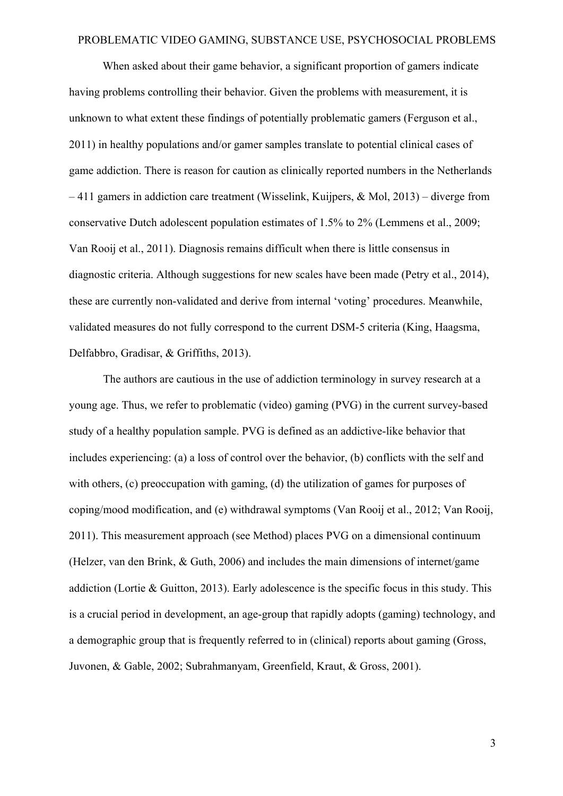When asked about their game behavior, a significant proportion of gamers indicate having problems controlling their behavior. Given the problems with measurement, it is unknown to what extent these findings of potentially problematic gamers (Ferguson et al., 2011) in healthy populations and/or gamer samples translate to potential clinical cases of game addiction. There is reason for caution as clinically reported numbers in the Netherlands  $-411$  gamers in addiction care treatment (Wisselink, Kuijpers, & Mol, 2013) – diverge from conservative Dutch adolescent population estimates of 1.5% to 2% (Lemmens et al., 2009; Van Rooij et al., 2011). Diagnosis remains difficult when there is little consensus in diagnostic criteria. Although suggestions for new scales have been made (Petry et al., 2014), these are currently non-validated and derive from internal 'voting' procedures. Meanwhile, validated measures do not fully correspond to the current DSM-5 criteria (King, Haagsma, Delfabbro, Gradisar, & Griffiths, 2013).

The authors are cautious in the use of addiction terminology in survey research at a young age. Thus, we refer to problematic (video) gaming (PVG) in the current survey-based study of a healthy population sample. PVG is defined as an addictive-like behavior that includes experiencing: (a) a loss of control over the behavior, (b) conflicts with the self and with others, (c) preoccupation with gaming, (d) the utilization of games for purposes of coping/mood modification, and (e) withdrawal symptoms (Van Rooij et al., 2012; Van Rooij, 2011). This measurement approach (see Method) places PVG on a dimensional continuum (Helzer, van den Brink, & Guth, 2006) and includes the main dimensions of internet/game addiction (Lortie & Guitton, 2013). Early adolescence is the specific focus in this study. This is a crucial period in development, an age-group that rapidly adopts (gaming) technology, and a demographic group that is frequently referred to in (clinical) reports about gaming (Gross, Juvonen, & Gable, 2002; Subrahmanyam, Greenfield, Kraut, & Gross, 2001).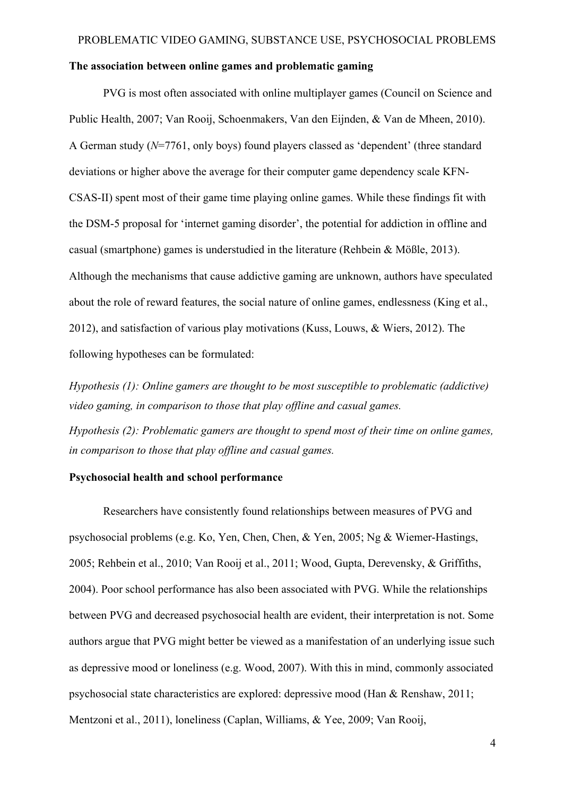#### **The association between online games and problematic gaming**

PVG is most often associated with online multiplayer games (Council on Science and Public Health, 2007; Van Rooij, Schoenmakers, Van den Eijnden, & Van de Mheen, 2010). A German study (*N*=7761, only boys) found players classed as 'dependent' (three standard deviations or higher above the average for their computer game dependency scale KFN-CSAS-II) spent most of their game time playing online games. While these findings fit with the DSM-5 proposal for 'internet gaming disorder', the potential for addiction in offline and casual (smartphone) games is understudied in the literature (Rehbein & Mößle, 2013). Although the mechanisms that cause addictive gaming are unknown, authors have speculated about the role of reward features, the social nature of online games, endlessness (King et al., 2012), and satisfaction of various play motivations (Kuss, Louws, & Wiers, 2012). The following hypotheses can be formulated:

*Hypothesis (1): Online gamers are thought to be most susceptible to problematic (addictive) video gaming, in comparison to those that play offline and casual games.* 

*Hypothesis (2): Problematic gamers are thought to spend most of their time on online games, in comparison to those that play offline and casual games.*

## **Psychosocial health and school performance**

Researchers have consistently found relationships between measures of PVG and psychosocial problems (e.g. Ko, Yen, Chen, Chen, & Yen, 2005; Ng & Wiemer-Hastings, 2005; Rehbein et al., 2010; Van Rooij et al., 2011; Wood, Gupta, Derevensky, & Griffiths, 2004). Poor school performance has also been associated with PVG. While the relationships between PVG and decreased psychosocial health are evident, their interpretation is not. Some authors argue that PVG might better be viewed as a manifestation of an underlying issue such as depressive mood or loneliness (e.g. Wood, 2007). With this in mind, commonly associated psychosocial state characteristics are explored: depressive mood (Han & Renshaw, 2011; Mentzoni et al., 2011), loneliness (Caplan, Williams, & Yee, 2009; Van Rooij,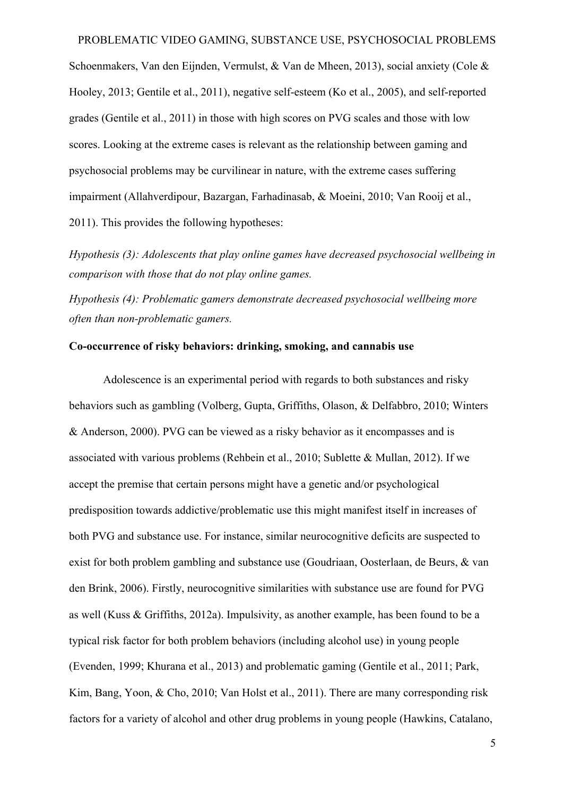Schoenmakers, Van den Eijnden, Vermulst, & Van de Mheen, 2013), social anxiety (Cole & Hooley, 2013; Gentile et al., 2011), negative self-esteem (Ko et al., 2005), and self-reported grades (Gentile et al., 2011) in those with high scores on PVG scales and those with low scores. Looking at the extreme cases is relevant as the relationship between gaming and psychosocial problems may be curvilinear in nature, with the extreme cases suffering impairment (Allahverdipour, Bazargan, Farhadinasab, & Moeini, 2010; Van Rooij et al., 2011). This provides the following hypotheses:

*Hypothesis (3): Adolescents that play online games have decreased psychosocial wellbeing in comparison with those that do not play online games.*

*Hypothesis (4): Problematic gamers demonstrate decreased psychosocial wellbeing more often than non-problematic gamers.*

## **Co-occurrence of risky behaviors: drinking, smoking, and cannabis use**

Adolescence is an experimental period with regards to both substances and risky behaviors such as gambling (Volberg, Gupta, Griffiths, Olason, & Delfabbro, 2010; Winters & Anderson, 2000). PVG can be viewed as a risky behavior as it encompasses and is associated with various problems (Rehbein et al., 2010; Sublette & Mullan, 2012). If we accept the premise that certain persons might have a genetic and/or psychological predisposition towards addictive/problematic use this might manifest itself in increases of both PVG and substance use. For instance, similar neurocognitive deficits are suspected to exist for both problem gambling and substance use (Goudriaan, Oosterlaan, de Beurs, & van den Brink, 2006). Firstly, neurocognitive similarities with substance use are found for PVG as well (Kuss & Griffiths, 2012a). Impulsivity, as another example, has been found to be a typical risk factor for both problem behaviors (including alcohol use) in young people (Evenden, 1999; Khurana et al., 2013) and problematic gaming (Gentile et al., 2011; Park, Kim, Bang, Yoon, & Cho, 2010; Van Holst et al., 2011). There are many corresponding risk factors for a variety of alcohol and other drug problems in young people (Hawkins, Catalano,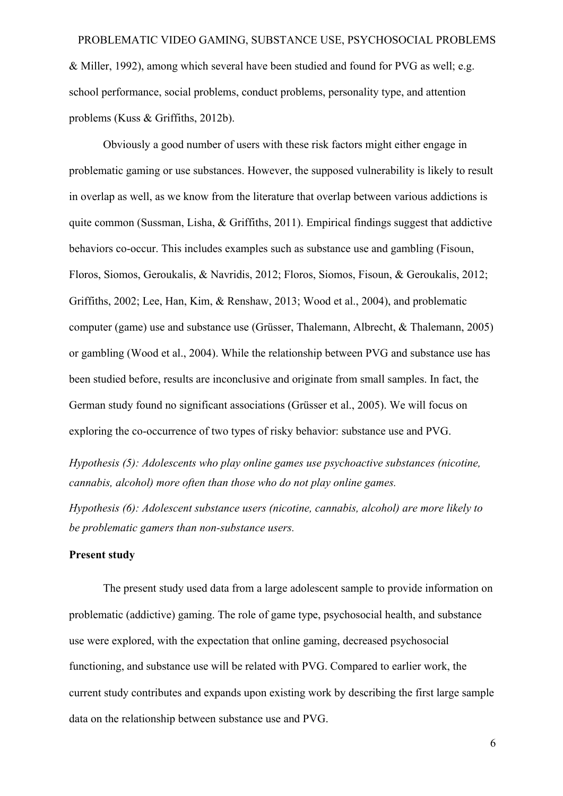& Miller, 1992), among which several have been studied and found for PVG as well; e.g. school performance, social problems, conduct problems, personality type, and attention problems (Kuss & Griffiths, 2012b).

Obviously a good number of users with these risk factors might either engage in problematic gaming or use substances. However, the supposed vulnerability is likely to result in overlap as well, as we know from the literature that overlap between various addictions is quite common (Sussman, Lisha, & Griffiths, 2011). Empirical findings suggest that addictive behaviors co-occur. This includes examples such as substance use and gambling (Fisoun, Floros, Siomos, Geroukalis, & Navridis, 2012; Floros, Siomos, Fisoun, & Geroukalis, 2012; Griffiths, 2002; Lee, Han, Kim, & Renshaw, 2013; Wood et al., 2004), and problematic computer (game) use and substance use (Grüsser, Thalemann, Albrecht, & Thalemann, 2005) or gambling (Wood et al., 2004). While the relationship between PVG and substance use has been studied before, results are inconclusive and originate from small samples. In fact, the German study found no significant associations (Grüsser et al., 2005). We will focus on exploring the co-occurrence of two types of risky behavior: substance use and PVG.

*Hypothesis (5): Adolescents who play online games use psychoactive substances (nicotine, cannabis, alcohol) more often than those who do not play online games.*

*Hypothesis (6): Adolescent substance users (nicotine, cannabis, alcohol) are more likely to be problematic gamers than non-substance users.* 

## **Present study**

The present study used data from a large adolescent sample to provide information on problematic (addictive) gaming. The role of game type, psychosocial health, and substance use were explored, with the expectation that online gaming, decreased psychosocial functioning, and substance use will be related with PVG. Compared to earlier work, the current study contributes and expands upon existing work by describing the first large sample data on the relationship between substance use and PVG.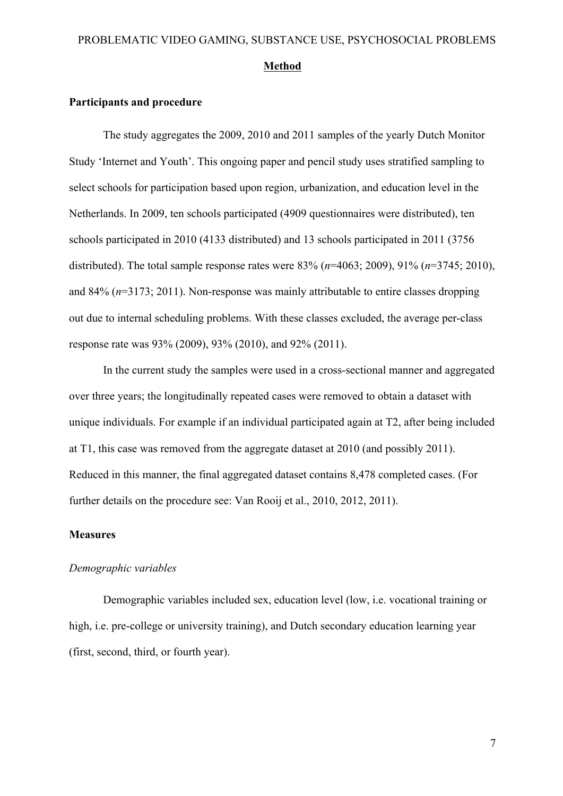#### **Method**

#### **Participants and procedure**

The study aggregates the 2009, 2010 and 2011 samples of the yearly Dutch Monitor Study 'Internet and Youth'. This ongoing paper and pencil study uses stratified sampling to select schools for participation based upon region, urbanization, and education level in the Netherlands. In 2009, ten schools participated (4909 questionnaires were distributed), ten schools participated in 2010 (4133 distributed) and 13 schools participated in 2011 (3756 distributed). The total sample response rates were 83% (*n*=4063; 2009), 91% (*n*=3745; 2010), and 84% (*n*=3173; 2011). Non-response was mainly attributable to entire classes dropping out due to internal scheduling problems. With these classes excluded, the average per-class response rate was 93% (2009), 93% (2010), and 92% (2011).

In the current study the samples were used in a cross-sectional manner and aggregated over three years; the longitudinally repeated cases were removed to obtain a dataset with unique individuals. For example if an individual participated again at T2, after being included at T1, this case was removed from the aggregate dataset at 2010 (and possibly 2011). Reduced in this manner, the final aggregated dataset contains 8,478 completed cases. (For further details on the procedure see: Van Rooij et al., 2010, 2012, 2011).

#### **Measures**

## *Demographic variables*

Demographic variables included sex, education level (low, i.e. vocational training or high, i.e. pre-college or university training), and Dutch secondary education learning year (first, second, third, or fourth year).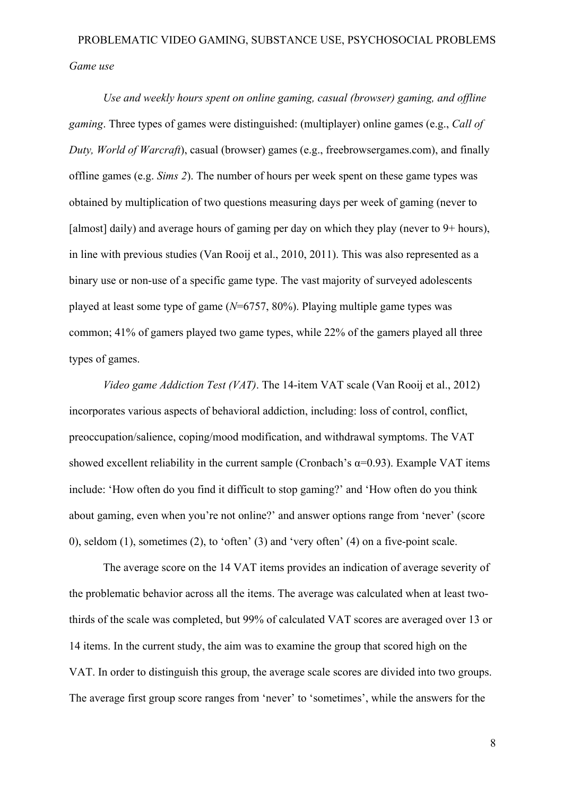*Use and weekly hours spent on online gaming, casual (browser) gaming, and offline gaming*. Three types of games were distinguished: (multiplayer) online games (e.g., *Call of Duty, World of Warcraft*), casual (browser) games (e.g., freebrowsergames.com), and finally offline games (e.g. *Sims 2*). The number of hours per week spent on these game types was obtained by multiplication of two questions measuring days per week of gaming (never to [almost] daily) and average hours of gaming per day on which they play (never to 9+ hours), in line with previous studies (Van Rooij et al., 2010, 2011). This was also represented as a binary use or non-use of a specific game type. The vast majority of surveyed adolescents played at least some type of game (*N*=6757, 80%). Playing multiple game types was common; 41% of gamers played two game types, while 22% of the gamers played all three types of games.

*Video game Addiction Test (VAT)*. The 14-item VAT scale (Van Rooij et al., 2012) incorporates various aspects of behavioral addiction, including: loss of control, conflict, preoccupation/salience, coping/mood modification, and withdrawal symptoms. The VAT showed excellent reliability in the current sample (Cronbach's  $\alpha$ =0.93). Example VAT items include: 'How often do you find it difficult to stop gaming?' and 'How often do you think about gaming, even when you're not online?' and answer options range from 'never' (score 0), seldom (1), sometimes (2), to 'often' (3) and 'very often' (4) on a five-point scale.

The average score on the 14 VAT items provides an indication of average severity of the problematic behavior across all the items. The average was calculated when at least twothirds of the scale was completed, but 99% of calculated VAT scores are averaged over 13 or 14 items. In the current study, the aim was to examine the group that scored high on the VAT. In order to distinguish this group, the average scale scores are divided into two groups. The average first group score ranges from 'never' to 'sometimes', while the answers for the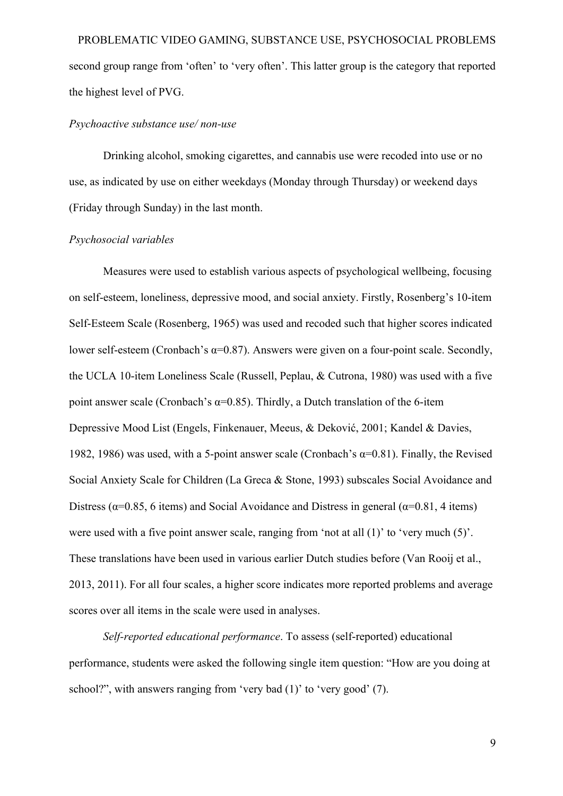PROBLEMATIC VIDEO GAMING, SUBSTANCE USE, PSYCHOSOCIAL PROBLEMS second group range from 'often' to 'very often'. This latter group is the category that reported the highest level of PVG.

#### *Psychoactive substance use/ non-use*

Drinking alcohol, smoking cigarettes, and cannabis use were recoded into use or no use, as indicated by use on either weekdays (Monday through Thursday) or weekend days (Friday through Sunday) in the last month.

## *Psychosocial variables*

Measures were used to establish various aspects of psychological wellbeing, focusing on self-esteem, loneliness, depressive mood, and social anxiety. Firstly, Rosenberg's 10-item Self-Esteem Scale (Rosenberg, 1965) was used and recoded such that higher scores indicated lower self-esteem (Cronbach's α=0.87). Answers were given on a four-point scale. Secondly, the UCLA 10-item Loneliness Scale (Russell, Peplau, & Cutrona, 1980) was used with a five point answer scale (Cronbach's α=0.85). Thirdly, a Dutch translation of the 6-item Depressive Mood List (Engels, Finkenauer, Meeus, & Deković, 2001; Kandel & Davies, 1982, 1986) was used, with a 5-point answer scale (Cronbach's  $\alpha$ =0.81). Finally, the Revised Social Anxiety Scale for Children (La Greca & Stone, 1993) subscales Social Avoidance and Distress ( $\alpha$ =0.85, 6 items) and Social Avoidance and Distress in general ( $\alpha$ =0.81, 4 items) were used with a five point answer scale, ranging from 'not at all (1)' to 'very much (5)'. These translations have been used in various earlier Dutch studies before (Van Rooij et al., 2013, 2011). For all four scales, a higher score indicates more reported problems and average scores over all items in the scale were used in analyses.

*Self-reported educational performance*. To assess (self-reported) educational performance, students were asked the following single item question: "How are you doing at school?", with answers ranging from 'very bad (1)' to 'very good' (7).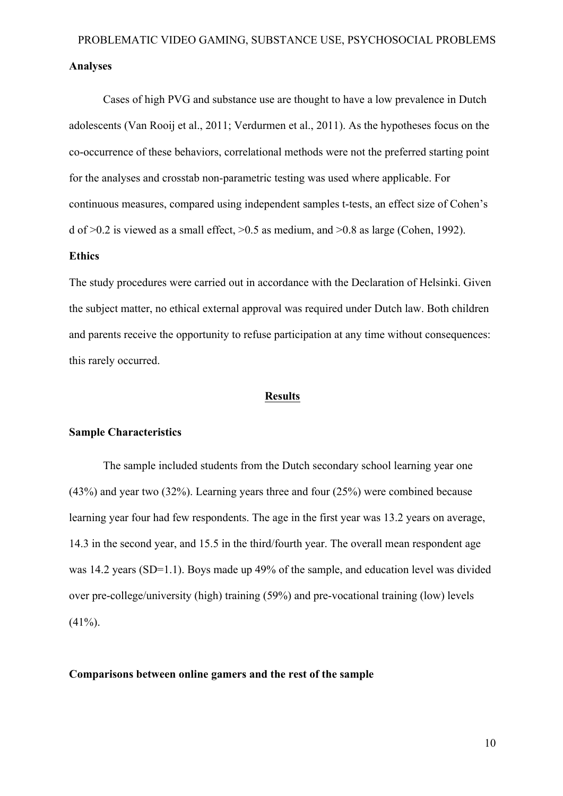Cases of high PVG and substance use are thought to have a low prevalence in Dutch adolescents (Van Rooij et al., 2011; Verdurmen et al., 2011). As the hypotheses focus on the co-occurrence of these behaviors, correlational methods were not the preferred starting point for the analyses and crosstab non-parametric testing was used where applicable. For continuous measures, compared using independent samples t-tests, an effect size of Cohen's d of  $>0.2$  is viewed as a small effect,  $>0.5$  as medium, and  $>0.8$  as large (Cohen, 1992).

### **Ethics**

The study procedures were carried out in accordance with the Declaration of Helsinki. Given the subject matter, no ethical external approval was required under Dutch law. Both children and parents receive the opportunity to refuse participation at any time without consequences: this rarely occurred.

#### **Results**

## **Sample Characteristics**

The sample included students from the Dutch secondary school learning year one (43%) and year two (32%). Learning years three and four (25%) were combined because learning year four had few respondents. The age in the first year was 13.2 years on average, 14.3 in the second year, and 15.5 in the third/fourth year. The overall mean respondent age was 14.2 years (SD=1.1). Boys made up 49% of the sample, and education level was divided over pre-college/university (high) training (59%) and pre-vocational training (low) levels  $(41\%)$ .

## **Comparisons between online gamers and the rest of the sample**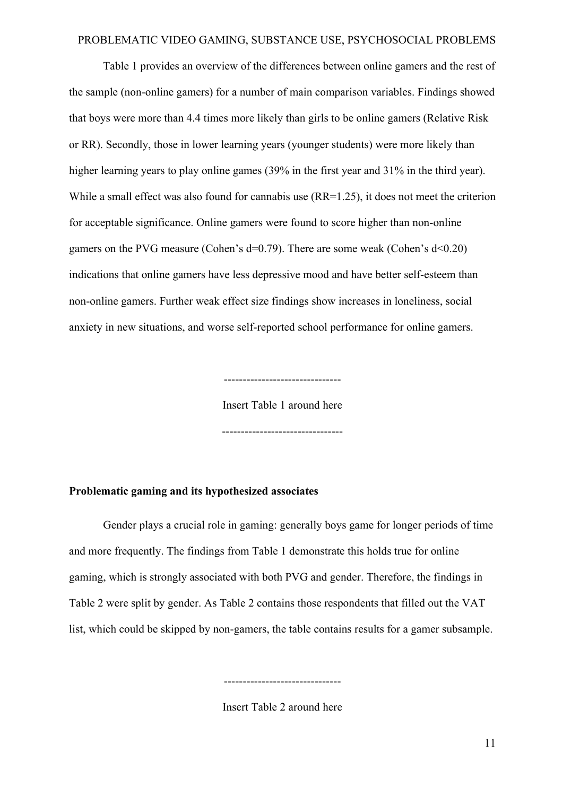Table 1 provides an overview of the differences between online gamers and the rest of the sample (non-online gamers) for a number of main comparison variables. Findings showed that boys were more than 4.4 times more likely than girls to be online gamers (Relative Risk or RR). Secondly, those in lower learning years (younger students) were more likely than higher learning years to play online games (39% in the first year and 31% in the third year). While a small effect was also found for cannabis use  $(RR=1.25)$ , it does not meet the criterion for acceptable significance. Online gamers were found to score higher than non-online gamers on the PVG measure (Cohen's d=0.79). There are some weak (Cohen's d<0.20) indications that online gamers have less depressive mood and have better self-esteem than non-online gamers. Further weak effect size findings show increases in loneliness, social anxiety in new situations, and worse self-reported school performance for online gamers.

> ------------------------------- Insert Table 1 around here

--------------------------------

## **Problematic gaming and its hypothesized associates**

Gender plays a crucial role in gaming: generally boys game for longer periods of time and more frequently. The findings from Table 1 demonstrate this holds true for online gaming, which is strongly associated with both PVG and gender. Therefore, the findings in Table 2 were split by gender. As Table 2 contains those respondents that filled out the VAT list, which could be skipped by non-gamers, the table contains results for a gamer subsample.

-------------------------------

Insert Table 2 around here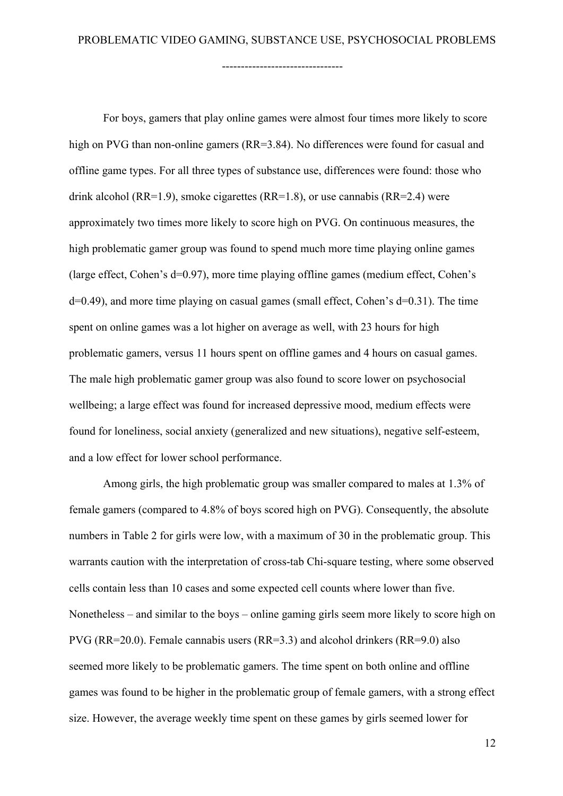--------------------------------

For boys, gamers that play online games were almost four times more likely to score high on PVG than non-online gamers (RR=3.84). No differences were found for casual and offline game types. For all three types of substance use, differences were found: those who drink alcohol (RR=1.9), smoke cigarettes (RR=1.8), or use cannabis (RR=2.4) were approximately two times more likely to score high on PVG. On continuous measures, the high problematic gamer group was found to spend much more time playing online games (large effect, Cohen's d=0.97), more time playing offline games (medium effect, Cohen's d=0.49), and more time playing on casual games (small effect, Cohen's d=0.31). The time spent on online games was a lot higher on average as well, with 23 hours for high problematic gamers, versus 11 hours spent on offline games and 4 hours on casual games. The male high problematic gamer group was also found to score lower on psychosocial wellbeing; a large effect was found for increased depressive mood, medium effects were found for loneliness, social anxiety (generalized and new situations), negative self-esteem, and a low effect for lower school performance.

Among girls, the high problematic group was smaller compared to males at 1.3% of female gamers (compared to 4.8% of boys scored high on PVG). Consequently, the absolute numbers in Table 2 for girls were low, with a maximum of 30 in the problematic group. This warrants caution with the interpretation of cross-tab Chi-square testing, where some observed cells contain less than 10 cases and some expected cell counts where lower than five. Nonetheless – and similar to the boys – online gaming girls seem more likely to score high on PVG (RR=20.0). Female cannabis users (RR=3.3) and alcohol drinkers (RR=9.0) also seemed more likely to be problematic gamers. The time spent on both online and offline games was found to be higher in the problematic group of female gamers, with a strong effect size. However, the average weekly time spent on these games by girls seemed lower for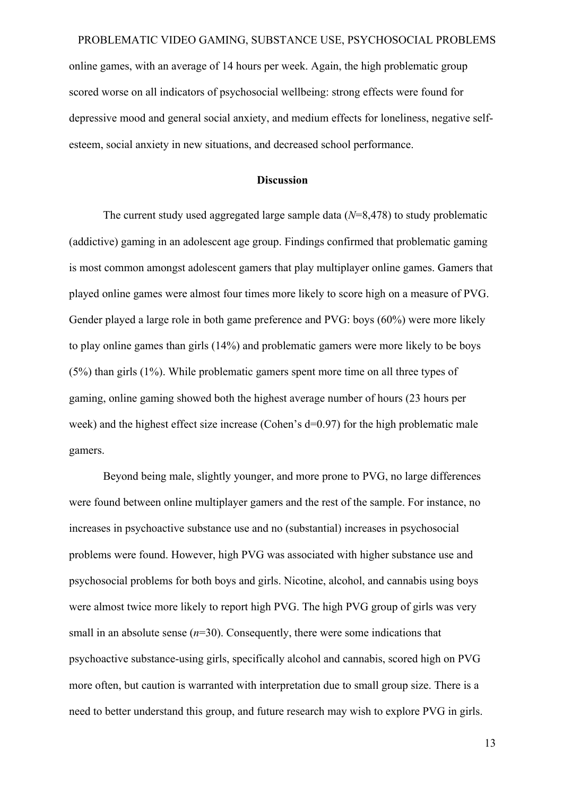online games, with an average of 14 hours per week. Again, the high problematic group scored worse on all indicators of psychosocial wellbeing: strong effects were found for depressive mood and general social anxiety, and medium effects for loneliness, negative selfesteem, social anxiety in new situations, and decreased school performance.

#### **Discussion**

The current study used aggregated large sample data (*N*=8,478) to study problematic (addictive) gaming in an adolescent age group. Findings confirmed that problematic gaming is most common amongst adolescent gamers that play multiplayer online games. Gamers that played online games were almost four times more likely to score high on a measure of PVG. Gender played a large role in both game preference and PVG: boys (60%) were more likely to play online games than girls (14%) and problematic gamers were more likely to be boys (5%) than girls (1%). While problematic gamers spent more time on all three types of gaming, online gaming showed both the highest average number of hours (23 hours per week) and the highest effect size increase (Cohen's d=0.97) for the high problematic male gamers.

Beyond being male, slightly younger, and more prone to PVG, no large differences were found between online multiplayer gamers and the rest of the sample. For instance, no increases in psychoactive substance use and no (substantial) increases in psychosocial problems were found. However, high PVG was associated with higher substance use and psychosocial problems for both boys and girls. Nicotine, alcohol, and cannabis using boys were almost twice more likely to report high PVG. The high PVG group of girls was very small in an absolute sense  $(n=30)$ . Consequently, there were some indications that psychoactive substance-using girls, specifically alcohol and cannabis, scored high on PVG more often, but caution is warranted with interpretation due to small group size. There is a need to better understand this group, and future research may wish to explore PVG in girls.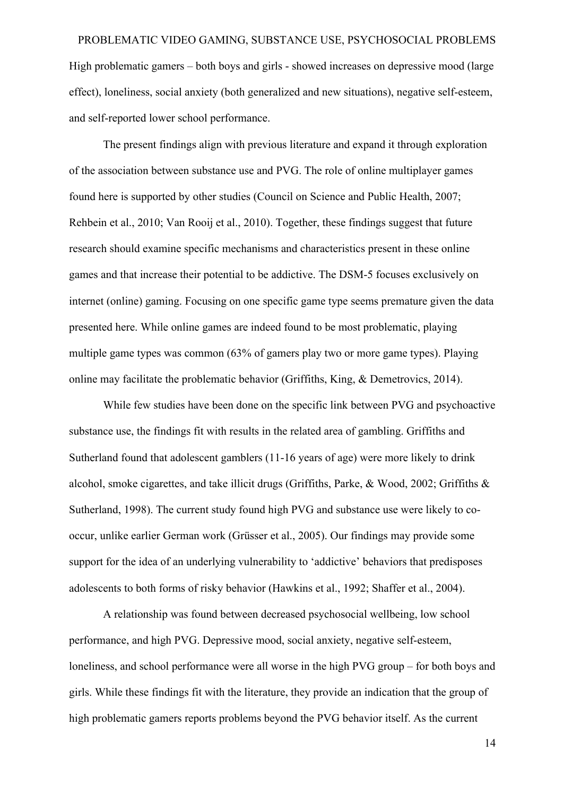# PROBLEMATIC VIDEO GAMING, SUBSTANCE USE, PSYCHOSOCIAL PROBLEMS High problematic gamers – both boys and girls - showed increases on depressive mood (large effect), loneliness, social anxiety (both generalized and new situations), negative self-esteem,

and self-reported lower school performance.

The present findings align with previous literature and expand it through exploration of the association between substance use and PVG. The role of online multiplayer games found here is supported by other studies (Council on Science and Public Health, 2007; Rehbein et al., 2010; Van Rooij et al., 2010). Together, these findings suggest that future research should examine specific mechanisms and characteristics present in these online games and that increase their potential to be addictive. The DSM-5 focuses exclusively on internet (online) gaming. Focusing on one specific game type seems premature given the data presented here. While online games are indeed found to be most problematic, playing multiple game types was common (63% of gamers play two or more game types). Playing online may facilitate the problematic behavior (Griffiths, King, & Demetrovics, 2014).

While few studies have been done on the specific link between PVG and psychoactive substance use, the findings fit with results in the related area of gambling. Griffiths and Sutherland found that adolescent gamblers (11-16 years of age) were more likely to drink alcohol, smoke cigarettes, and take illicit drugs (Griffiths, Parke, & Wood, 2002; Griffiths & Sutherland, 1998). The current study found high PVG and substance use were likely to cooccur, unlike earlier German work (Grüsser et al., 2005). Our findings may provide some support for the idea of an underlying vulnerability to 'addictive' behaviors that predisposes adolescents to both forms of risky behavior (Hawkins et al., 1992; Shaffer et al., 2004).

A relationship was found between decreased psychosocial wellbeing, low school performance, and high PVG. Depressive mood, social anxiety, negative self-esteem, loneliness, and school performance were all worse in the high PVG group – for both boys and girls. While these findings fit with the literature, they provide an indication that the group of high problematic gamers reports problems beyond the PVG behavior itself. As the current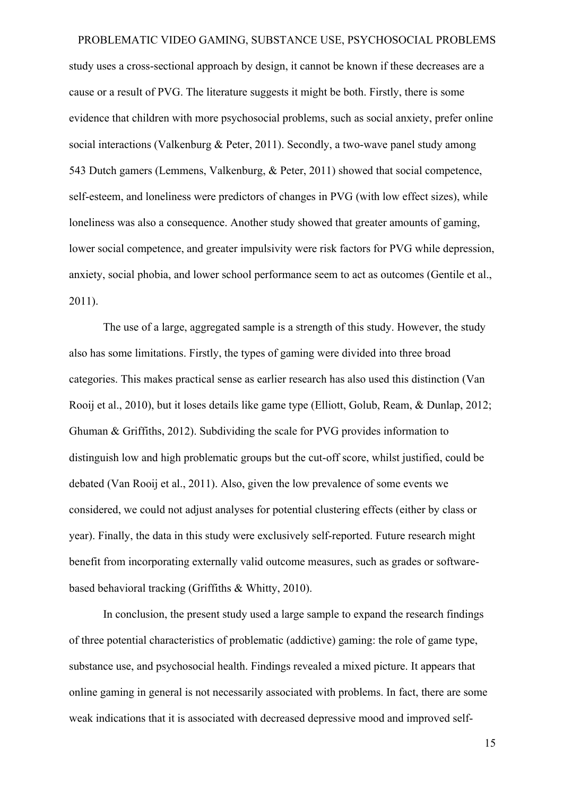study uses a cross-sectional approach by design, it cannot be known if these decreases are a cause or a result of PVG. The literature suggests it might be both. Firstly, there is some evidence that children with more psychosocial problems, such as social anxiety, prefer online social interactions (Valkenburg & Peter, 2011). Secondly, a two-wave panel study among 543 Dutch gamers (Lemmens, Valkenburg, & Peter, 2011) showed that social competence, self-esteem, and loneliness were predictors of changes in PVG (with low effect sizes), while loneliness was also a consequence. Another study showed that greater amounts of gaming, lower social competence, and greater impulsivity were risk factors for PVG while depression, anxiety, social phobia, and lower school performance seem to act as outcomes (Gentile et al., 2011).

The use of a large, aggregated sample is a strength of this study. However, the study also has some limitations. Firstly, the types of gaming were divided into three broad categories. This makes practical sense as earlier research has also used this distinction (Van Rooij et al., 2010), but it loses details like game type (Elliott, Golub, Ream, & Dunlap, 2012; Ghuman & Griffiths, 2012). Subdividing the scale for PVG provides information to distinguish low and high problematic groups but the cut-off score, whilst justified, could be debated (Van Rooij et al., 2011). Also, given the low prevalence of some events we considered, we could not adjust analyses for potential clustering effects (either by class or year). Finally, the data in this study were exclusively self-reported. Future research might benefit from incorporating externally valid outcome measures, such as grades or softwarebased behavioral tracking (Griffiths & Whitty, 2010).

In conclusion, the present study used a large sample to expand the research findings of three potential characteristics of problematic (addictive) gaming: the role of game type, substance use, and psychosocial health. Findings revealed a mixed picture. It appears that online gaming in general is not necessarily associated with problems. In fact, there are some weak indications that it is associated with decreased depressive mood and improved self-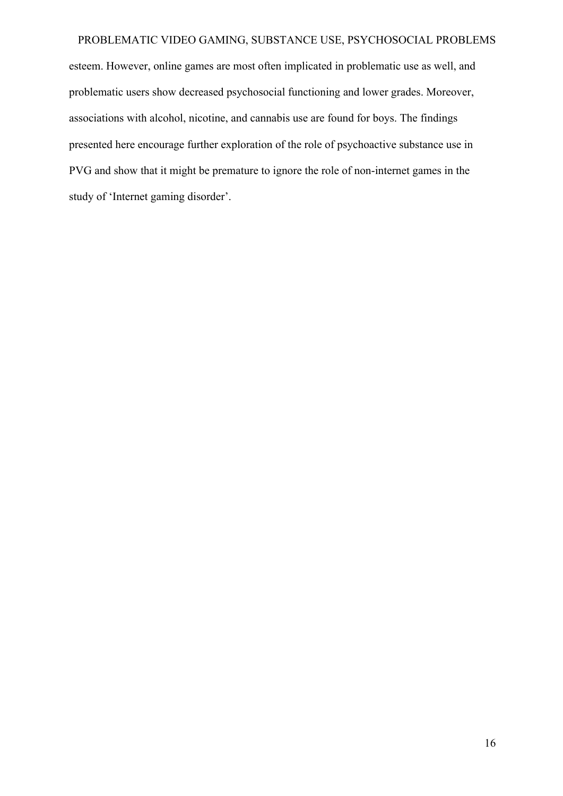esteem. However, online games are most often implicated in problematic use as well, and problematic users show decreased psychosocial functioning and lower grades. Moreover, associations with alcohol, nicotine, and cannabis use are found for boys. The findings presented here encourage further exploration of the role of psychoactive substance use in PVG and show that it might be premature to ignore the role of non-internet games in the study of 'Internet gaming disorder'.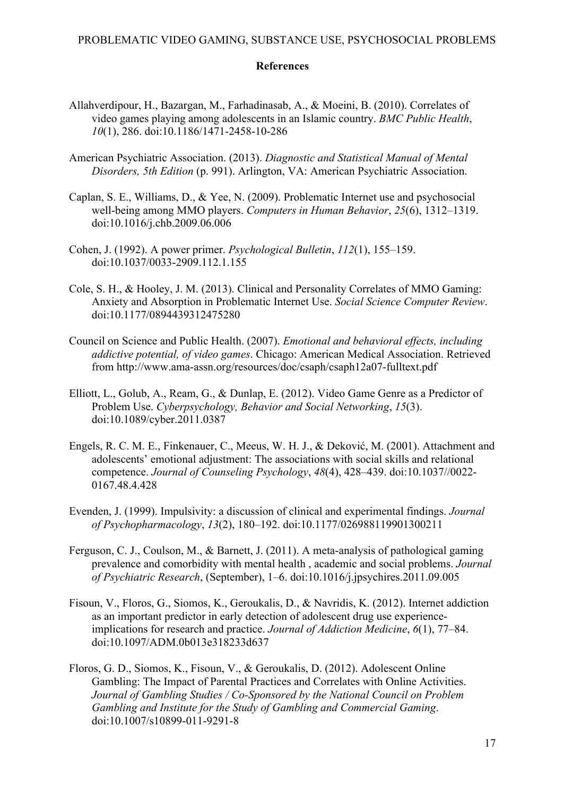#### **References**

- Allahverdipour, H., Bazargan, M., Farhadinasab, A., & Moeini, B. (2010). Correlates of video games playing among adolescents in an Islamic country. *BMC Public Health*, *10*(1), 286. doi:10.1186/1471-2458-10-286
- American Psychiatric Association. (2013). *Diagnostic and Statistical Manual of Mental Disorders, 5th Edition* (p. 991). Arlington, VA: American Psychiatric Association.
- Caplan, S. E., Williams, D., & Yee, N. (2009). Problematic Internet use and psychosocial well-being among MMO players. *Computers in Human Behavior*, *25*(6), 1312–1319. doi:10.1016/j.chb.2009.06.006
- Cohen, J. (1992). A power primer. *Psychological Bulletin*, *112*(1), 155–159. doi:10.1037/0033-2909.112.1.155
- Cole, S. H., & Hooley, J. M. (2013). Clinical and Personality Correlates of MMO Gaming: Anxiety and Absorption in Problematic Internet Use. *Social Science Computer Review*. doi:10.1177/0894439312475280
- Council on Science and Public Health. (2007). *Emotional and behavioral effects, including addictive potential, of video games*. Chicago: American Medical Association. Retrieved from http://www.ama-assn.org/resources/doc/csaph/csaph12a07-fulltext.pdf
- Elliott, L., Golub, A., Ream, G., & Dunlap, E. (2012). Video Game Genre as a Predictor of Problem Use. *Cyberpsychology, Behavior and Social Networking*, *15*(3). doi:10.1089/cyber.2011.0387
- Engels, R. C. M. E., Finkenauer, C., Meeus, W. H. J., & Deković, M. (2001). Attachment and adolescents' emotional adjustment: The associations with social skills and relational competence. *Journal of Counseling Psychology*, *48*(4), 428–439. doi:10.1037//0022- 0167.48.4.428
- Evenden, J. (1999). Impulsivity: a discussion of clinical and experimental findings. *Journal of Psychopharmacology*, *13*(2), 180–192. doi:10.1177/026988119901300211
- Ferguson, C. J., Coulson, M., & Barnett, J. (2011). A meta-analysis of pathological gaming prevalence and comorbidity with mental health , academic and social problems. *Journal of Psychiatric Research*, (September), 1–6. doi:10.1016/j.jpsychires.2011.09.005
- Fisoun, V., Floros, G., Siomos, K., Geroukalis, D., & Navridis, K. (2012). Internet addiction as an important predictor in early detection of adolescent drug use experienceimplications for research and practice. *Journal of Addiction Medicine*, *6*(1), 77–84. doi:10.1097/ADM.0b013e318233d637
- Floros, G. D., Siomos, K., Fisoun, V., & Geroukalis, D. (2012). Adolescent Online Gambling: The Impact of Parental Practices and Correlates with Online Activities. *Journal of Gambling Studies / Co-Sponsored by the National Council on Problem Gambling and Institute for the Study of Gambling and Commercial Gaming*. doi:10.1007/s10899-011-9291-8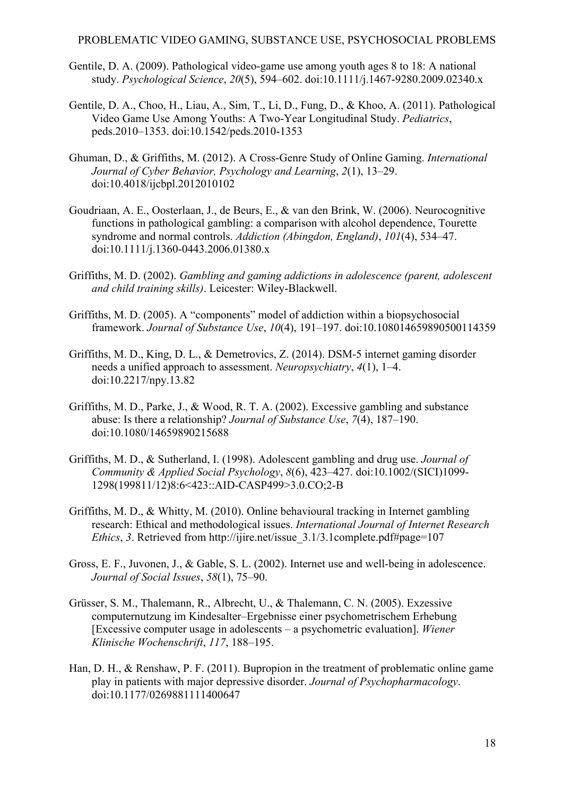- Gentile, D. A. (2009). Pathological video-game use among youth ages 8 to 18: A national study. *Psychological Science*, *20*(5), 594–602. doi:10.1111/j.1467-9280.2009.02340.x
- Gentile, D. A., Choo, H., Liau, A., Sim, T., Li, D., Fung, D., & Khoo, A. (2011). Pathological Video Game Use Among Youths: A Two-Year Longitudinal Study. *Pediatrics*, peds.2010–1353. doi:10.1542/peds.2010-1353
- Ghuman, D., & Griffiths, M. (2012). A Cross-Genre Study of Online Gaming. *International Journal of Cyber Behavior, Psychology and Learning*, *2*(1), 13–29. doi:10.4018/ijcbpl.2012010102
- Goudriaan, A. E., Oosterlaan, J., de Beurs, E., & van den Brink, W. (2006). Neurocognitive functions in pathological gambling: a comparison with alcohol dependence, Tourette syndrome and normal controls. *Addiction (Abingdon, England)*, *101*(4), 534–47. doi:10.1111/j.1360-0443.2006.01380.x
- Griffiths, M. D. (2002). *Gambling and gaming addictions in adolescence (parent, adolescent and child training skills)*. Leicester: Wiley-Blackwell.
- Griffiths, M. D. (2005). A "components" model of addiction within a biopsychosocial framework. *Journal of Substance Use*, *10*(4), 191–197. doi:10.108014659890500114359
- Griffiths, M. D., King, D. L., & Demetrovics, Z. (2014). DSM-5 internet gaming disorder needs a unified approach to assessment. *Neuropsychiatry*, *4*(1), 1–4. doi:10.2217/npy.13.82
- Griffiths, M. D., Parke, J., & Wood, R. T. A. (2002). Excessive gambling and substance abuse: Is there a relationship? *Journal of Substance Use*, *7*(4), 187–190. doi:10.1080/14659890215688
- Griffiths, M. D., & Sutherland, I. (1998). Adolescent gambling and drug use. *Journal of Community & Applied Social Psychology*, *8*(6), 423–427. doi:10.1002/(SICI)1099- 1298(199811/12)8:6<423::AID-CASP499>3.0.CO;2-B
- Griffiths, M. D., & Whitty, M. (2010). Online behavioural tracking in Internet gambling research: Ethical and methodological issues. *International Journal of Internet Research Ethics*, 3. Retrieved from http://ijire.net/issue 3.1/3.1complete.pdf#page=107
- Gross, E. F., Juvonen, J., & Gable, S. L. (2002). Internet use and well-being in adolescence. *Journal of Social Issues*, *58*(1), 75–90.
- Grüsser, S. M., Thalemann, R., Albrecht, U., & Thalemann, C. N. (2005). Exzessive computernutzung im Kindesalter–Ergebnisse einer psychometrischem Erhebung [Excessive computer usage in adolescents – a psychometric evaluation]. *Wiener Klinische Wochenschrift*, *117*, 188–195.
- Han, D. H., & Renshaw, P. F. (2011). Bupropion in the treatment of problematic online game play in patients with major depressive disorder. *Journal of Psychopharmacology*. doi:10.1177/0269881111400647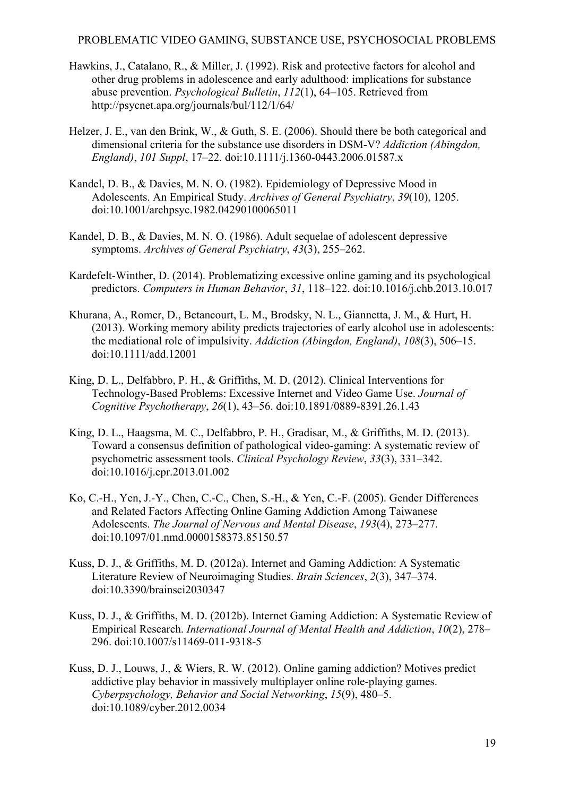- Hawkins, J., Catalano, R., & Miller, J. (1992). Risk and protective factors for alcohol and other drug problems in adolescence and early adulthood: implications for substance abuse prevention. *Psychological Bulletin*, *112*(1), 64–105. Retrieved from http://psycnet.apa.org/journals/bul/112/1/64/
- Helzer, J. E., van den Brink, W., & Guth, S. E. (2006). Should there be both categorical and dimensional criteria for the substance use disorders in DSM-V? *Addiction (Abingdon, England)*, *101 Suppl*, 17–22. doi:10.1111/j.1360-0443.2006.01587.x
- Kandel, D. B., & Davies, M. N. O. (1982). Epidemiology of Depressive Mood in Adolescents. An Empirical Study. *Archives of General Psychiatry*, *39*(10), 1205. doi:10.1001/archpsyc.1982.04290100065011
- Kandel, D. B., & Davies, M. N. O. (1986). Adult sequelae of adolescent depressive symptoms. *Archives of General Psychiatry*, *43*(3), 255–262.
- Kardefelt-Winther, D. (2014). Problematizing excessive online gaming and its psychological predictors. *Computers in Human Behavior*, *31*, 118–122. doi:10.1016/j.chb.2013.10.017
- Khurana, A., Romer, D., Betancourt, L. M., Brodsky, N. L., Giannetta, J. M., & Hurt, H. (2013). Working memory ability predicts trajectories of early alcohol use in adolescents: the mediational role of impulsivity. *Addiction (Abingdon, England)*, *108*(3), 506–15. doi:10.1111/add.12001
- King, D. L., Delfabbro, P. H., & Griffiths, M. D. (2012). Clinical Interventions for Technology-Based Problems: Excessive Internet and Video Game Use. *Journal of Cognitive Psychotherapy*, *26*(1), 43–56. doi:10.1891/0889-8391.26.1.43
- King, D. L., Haagsma, M. C., Delfabbro, P. H., Gradisar, M., & Griffiths, M. D. (2013). Toward a consensus definition of pathological video-gaming: A systematic review of psychometric assessment tools. *Clinical Psychology Review*, *33*(3), 331–342. doi:10.1016/j.cpr.2013.01.002
- Ko, C.-H., Yen, J.-Y., Chen, C.-C., Chen, S.-H., & Yen, C.-F. (2005). Gender Differences and Related Factors Affecting Online Gaming Addiction Among Taiwanese Adolescents. *The Journal of Nervous and Mental Disease*, *193*(4), 273–277. doi:10.1097/01.nmd.0000158373.85150.57
- Kuss, D. J., & Griffiths, M. D. (2012a). Internet and Gaming Addiction: A Systematic Literature Review of Neuroimaging Studies. *Brain Sciences*, *2*(3), 347–374. doi:10.3390/brainsci2030347
- Kuss, D. J., & Griffiths, M. D. (2012b). Internet Gaming Addiction: A Systematic Review of Empirical Research. *International Journal of Mental Health and Addiction*, *10*(2), 278– 296. doi:10.1007/s11469-011-9318-5
- Kuss, D. J., Louws, J., & Wiers, R. W. (2012). Online gaming addiction? Motives predict addictive play behavior in massively multiplayer online role-playing games. *Cyberpsychology, Behavior and Social Networking*, *15*(9), 480–5. doi:10.1089/cyber.2012.0034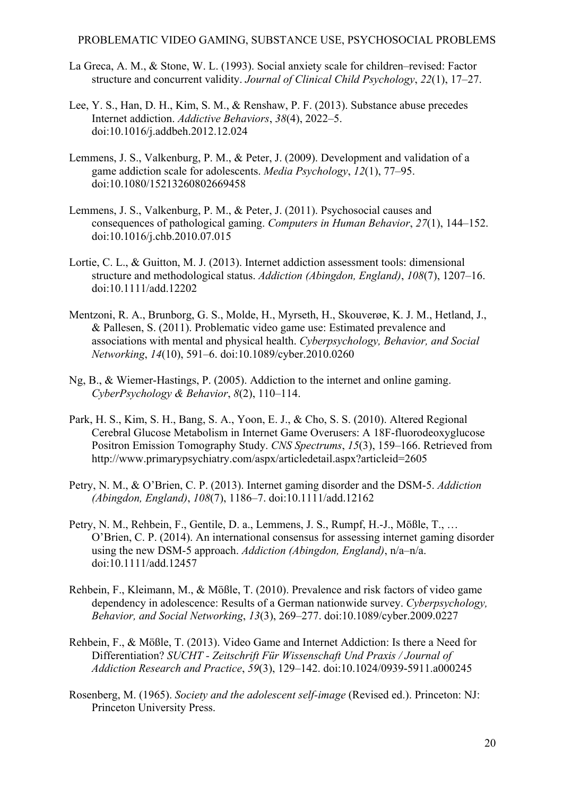- La Greca, A. M., & Stone, W. L. (1993). Social anxiety scale for children–revised: Factor structure and concurrent validity. *Journal of Clinical Child Psychology*, *22*(1), 17–27.
- Lee, Y. S., Han, D. H., Kim, S. M., & Renshaw, P. F. (2013). Substance abuse precedes Internet addiction. *Addictive Behaviors*, *38*(4), 2022–5. doi:10.1016/j.addbeh.2012.12.024
- Lemmens, J. S., Valkenburg, P. M., & Peter, J. (2009). Development and validation of a game addiction scale for adolescents. *Media Psychology*, *12*(1), 77–95. doi:10.1080/15213260802669458
- Lemmens, J. S., Valkenburg, P. M., & Peter, J. (2011). Psychosocial causes and consequences of pathological gaming. *Computers in Human Behavior*, *27*(1), 144–152. doi:10.1016/j.chb.2010.07.015
- Lortie, C. L., & Guitton, M. J. (2013). Internet addiction assessment tools: dimensional structure and methodological status. *Addiction (Abingdon, England)*, *108*(7), 1207–16. doi:10.1111/add.12202
- Mentzoni, R. A., Brunborg, G. S., Molde, H., Myrseth, H., Skouverøe, K. J. M., Hetland, J., & Pallesen, S. (2011). Problematic video game use: Estimated prevalence and associations with mental and physical health. *Cyberpsychology, Behavior, and Social Networking*, *14*(10), 591–6. doi:10.1089/cyber.2010.0260
- Ng, B., & Wiemer-Hastings, P. (2005). Addiction to the internet and online gaming. *CyberPsychology & Behavior*, *8*(2), 110–114.
- Park, H. S., Kim, S. H., Bang, S. A., Yoon, E. J., & Cho, S. S. (2010). Altered Regional Cerebral Glucose Metabolism in Internet Game Overusers: A 18F-fluorodeoxyglucose Positron Emission Tomography Study. *CNS Spectrums*, *15*(3), 159–166. Retrieved from http://www.primarypsychiatry.com/aspx/articledetail.aspx?articleid=2605
- Petry, N. M., & O'Brien, C. P. (2013). Internet gaming disorder and the DSM-5. *Addiction (Abingdon, England)*, *108*(7), 1186–7. doi:10.1111/add.12162
- Petry, N. M., Rehbein, F., Gentile, D. a., Lemmens, J. S., Rumpf, H.-J., Mößle, T., … O'Brien, C. P. (2014). An international consensus for assessing internet gaming disorder using the new DSM-5 approach. *Addiction (Abingdon, England)*, n/a–n/a. doi:10.1111/add.12457
- Rehbein, F., Kleimann, M., & Mößle, T. (2010). Prevalence and risk factors of video game dependency in adolescence: Results of a German nationwide survey. *Cyberpsychology, Behavior, and Social Networking*, *13*(3), 269–277. doi:10.1089/cyber.2009.0227
- Rehbein, F., & Mößle, T. (2013). Video Game and Internet Addiction: Is there a Need for Differentiation? *SUCHT - Zeitschrift Für Wissenschaft Und Praxis / Journal of Addiction Research and Practice*, *59*(3), 129–142. doi:10.1024/0939-5911.a000245
- Rosenberg, M. (1965). *Society and the adolescent self-image* (Revised ed.). Princeton: NJ: Princeton University Press.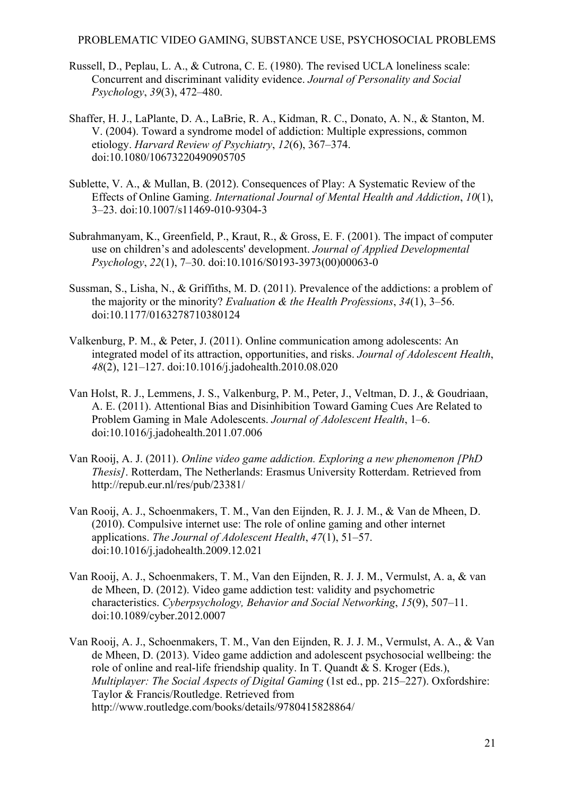- Russell, D., Peplau, L. A., & Cutrona, C. E. (1980). The revised UCLA loneliness scale: Concurrent and discriminant validity evidence. *Journal of Personality and Social Psychology*, *39*(3), 472–480.
- Shaffer, H. J., LaPlante, D. A., LaBrie, R. A., Kidman, R. C., Donato, A. N., & Stanton, M. V. (2004). Toward a syndrome model of addiction: Multiple expressions, common etiology. *Harvard Review of Psychiatry*, *12*(6), 367–374. doi:10.1080/10673220490905705
- Sublette, V. A., & Mullan, B. (2012). Consequences of Play: A Systematic Review of the Effects of Online Gaming. *International Journal of Mental Health and Addiction*, *10*(1), 3–23. doi:10.1007/s11469-010-9304-3
- Subrahmanyam, K., Greenfield, P., Kraut, R., & Gross, E. F. (2001). The impact of computer use on children's and adolescents' development. *Journal of Applied Developmental Psychology*, *22*(1), 7–30. doi:10.1016/S0193-3973(00)00063-0
- Sussman, S., Lisha, N., & Griffiths, M. D. (2011). Prevalence of the addictions: a problem of the majority or the minority? *Evaluation & the Health Professions*, *34*(1), 3–56. doi:10.1177/0163278710380124
- Valkenburg, P. M., & Peter, J. (2011). Online communication among adolescents: An integrated model of its attraction, opportunities, and risks. *Journal of Adolescent Health*, *48*(2), 121–127. doi:10.1016/j.jadohealth.2010.08.020
- Van Holst, R. J., Lemmens, J. S., Valkenburg, P. M., Peter, J., Veltman, D. J., & Goudriaan, A. E. (2011). Attentional Bias and Disinhibition Toward Gaming Cues Are Related to Problem Gaming in Male Adolescents. *Journal of Adolescent Health*, 1–6. doi:10.1016/j.jadohealth.2011.07.006
- Van Rooij, A. J. (2011). *Online video game addiction. Exploring a new phenomenon [PhD Thesis]*. Rotterdam, The Netherlands: Erasmus University Rotterdam. Retrieved from http://repub.eur.nl/res/pub/23381/
- Van Rooij, A. J., Schoenmakers, T. M., Van den Eijnden, R. J. J. M., & Van de Mheen, D. (2010). Compulsive internet use: The role of online gaming and other internet applications. *The Journal of Adolescent Health*, *47*(1), 51–57. doi:10.1016/j.jadohealth.2009.12.021
- Van Rooij, A. J., Schoenmakers, T. M., Van den Eijnden, R. J. J. M., Vermulst, A. a, & van de Mheen, D. (2012). Video game addiction test: validity and psychometric characteristics. *Cyberpsychology, Behavior and Social Networking*, *15*(9), 507–11. doi:10.1089/cyber.2012.0007

Van Rooij, A. J., Schoenmakers, T. M., Van den Eijnden, R. J. J. M., Vermulst, A. A., & Van de Mheen, D. (2013). Video game addiction and adolescent psychosocial wellbeing: the role of online and real-life friendship quality. In T. Quandt & S. Kroger (Eds.), *Multiplayer: The Social Aspects of Digital Gaming* (1st ed., pp. 215–227). Oxfordshire: Taylor & Francis/Routledge. Retrieved from http://www.routledge.com/books/details/9780415828864/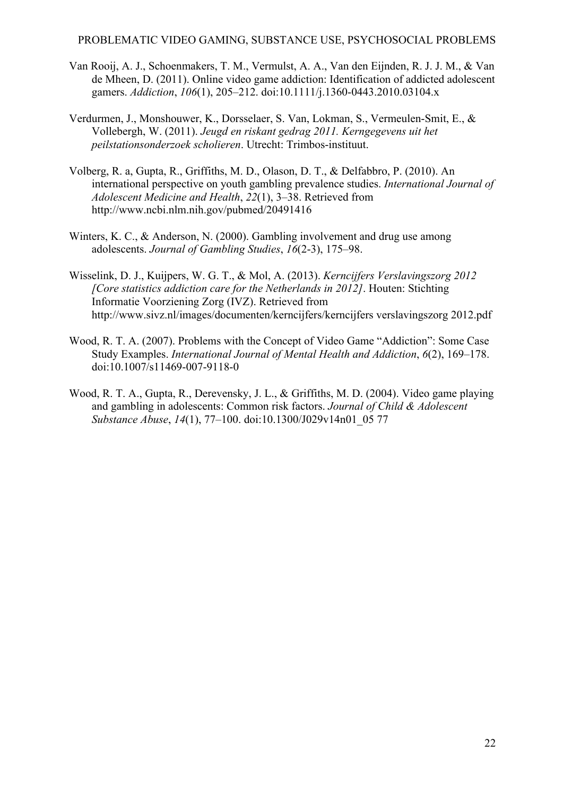- Van Rooij, A. J., Schoenmakers, T. M., Vermulst, A. A., Van den Eijnden, R. J. J. M., & Van de Mheen, D. (2011). Online video game addiction: Identification of addicted adolescent gamers. *Addiction*, *106*(1), 205–212. doi:10.1111/j.1360-0443.2010.03104.x
- Verdurmen, J., Monshouwer, K., Dorsselaer, S. Van, Lokman, S., Vermeulen-Smit, E., & Vollebergh, W. (2011). *Jeugd en riskant gedrag 2011. Kerngegevens uit het peilstationsonderzoek scholieren*. Utrecht: Trimbos-instituut.
- Volberg, R. a, Gupta, R., Griffiths, M. D., Olason, D. T., & Delfabbro, P. (2010). An international perspective on youth gambling prevalence studies. *International Journal of Adolescent Medicine and Health*, *22*(1), 3–38. Retrieved from http://www.ncbi.nlm.nih.gov/pubmed/20491416
- Winters, K. C., & Anderson, N. (2000). Gambling involvement and drug use among adolescents. *Journal of Gambling Studies*, *16*(2-3), 175–98.
- Wisselink, D. J., Kuijpers, W. G. T., & Mol, A. (2013). *Kerncijfers Verslavingszorg 2012 [Core statistics addiction care for the Netherlands in 2012]*. Houten: Stichting Informatie Voorziening Zorg (IVZ). Retrieved from http://www.sivz.nl/images/documenten/kerncijfers/kerncijfers verslavingszorg 2012.pdf
- Wood, R. T. A. (2007). Problems with the Concept of Video Game "Addiction": Some Case Study Examples. *International Journal of Mental Health and Addiction*, *6*(2), 169–178. doi:10.1007/s11469-007-9118-0
- Wood, R. T. A., Gupta, R., Derevensky, J. L., & Griffiths, M. D. (2004). Video game playing and gambling in adolescents: Common risk factors. *Journal of Child & Adolescent Substance Abuse*, *14*(1), 77–100. doi:10.1300/J029v14n01\_05 77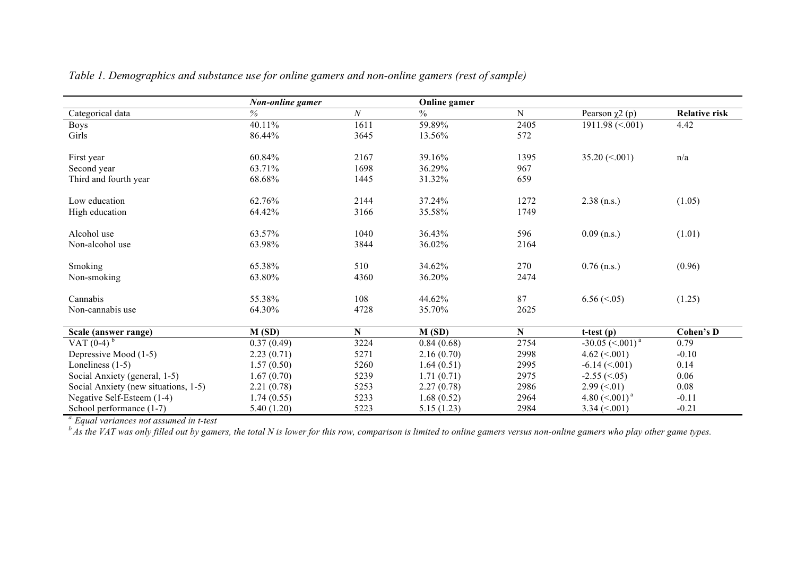|                                      | Non-online gamer |      | <b>Online</b> gamer |             |                                |                      |
|--------------------------------------|------------------|------|---------------------|-------------|--------------------------------|----------------------|
| Categorical data                     | $\%$             | N    | $\frac{0}{0}$       | $\mathbf N$ | Pearson $\chi$ 2 (p)           | <b>Relative risk</b> |
| Boys                                 | 40.11%           | 1611 | 59.89%              | 2405        | $1911.98 \approx 001$          | 4.42                 |
| Girls                                | 86.44%           | 3645 | 13.56%              | 572         |                                |                      |
|                                      |                  |      |                     |             |                                |                      |
| First year                           | 60.84%           | 2167 | 39.16%              | 1395        | 35.20 $(\leq 0.001)$           | n/a                  |
| Second year                          | 63.71%           | 1698 | 36.29%              | 967         |                                |                      |
| Third and fourth year                | 68.68%           | 1445 | 31.32%              | 659         |                                |                      |
| Low education                        | 62.76%           | 2144 | 37.24%              | 1272        | $2.38$ (n.s.)                  | (1.05)               |
| High education                       | 64.42%           | 3166 | 35.58%              | 1749        |                                |                      |
| Alcohol use                          | 63.57%           | 1040 | 36.43%              | 596         | $0.09$ (n.s.)                  |                      |
|                                      |                  |      |                     |             |                                | (1.01)               |
| Non-alcohol use                      | 63.98%           | 3844 | 36.02%              | 2164        |                                |                      |
| Smoking                              | 65.38%           | 510  | 34.62%              | 270         | $0.76$ (n.s.)                  | (0.96)               |
| Non-smoking                          | 63.80%           | 4360 | 36.20%              | 2474        |                                |                      |
| Cannabis                             | 55.38%           | 108  | 44.62%              | 87          | $6.56 \approx 0.05$            | (1.25)               |
| Non-cannabis use                     | 64.30%           | 4728 | 35.70%              | 2625        |                                |                      |
|                                      |                  |      |                     |             |                                |                      |
| Scale (answer range)                 | M(SD)            | N    | M(SD)               | N           | $t-test(p)$                    | <b>Cohen's D</b>     |
| VAT $(0-4)^{b}$                      | 0.37(0.49)       | 3224 | 0.84(0.68)          | 2754        | $-30.05$ (<.001) <sup>a</sup>  | 0.79                 |
| Depressive Mood (1-5)                | 2.23(0.71)       | 5271 | 2.16(0.70)          | 2998        | 4.62 $(< 001$ )                | $-0.10$              |
| Loneliness $(1-5)$                   | 1.57(0.50)       | 5260 | 1.64(0.51)          | 2995        | $-6.14 \approx 001$            | 0.14                 |
| Social Anxiety (general, 1-5)        | 1.67(0.70)       | 5239 | 1.71(0.71)          | 2975        | $-2.55 \approx 0.05$           | 0.06                 |
| Social Anxiety (new situations, 1-5) | 2.21(0.78)       | 5253 | 2.27(0.78)          | 2986        | $2.99 \left( \le 0.01 \right)$ | 0.08                 |
| Negative Self-Esteem (1-4)           | 1.74(0.55)       | 5233 | 1.68(0.52)          | 2964        | 4.80 $(<.001)^a$               | $-0.11$              |
| School performance (1-7)             | 5.40(1.20)       | 5223 | 5.15(1.23)          | 2984        | $3.34 \le 0.001$               | $-0.21$              |

*Table 1. Demographics and substance use for online gamers and non-online gamers (rest of sample)*

*a. Equal variances not assumed in t-test*

*b As the VAT was only filled out by gamers, the total N is lower for this row, comparison is limited to online gamers versus non-online gamers who play other game types.*